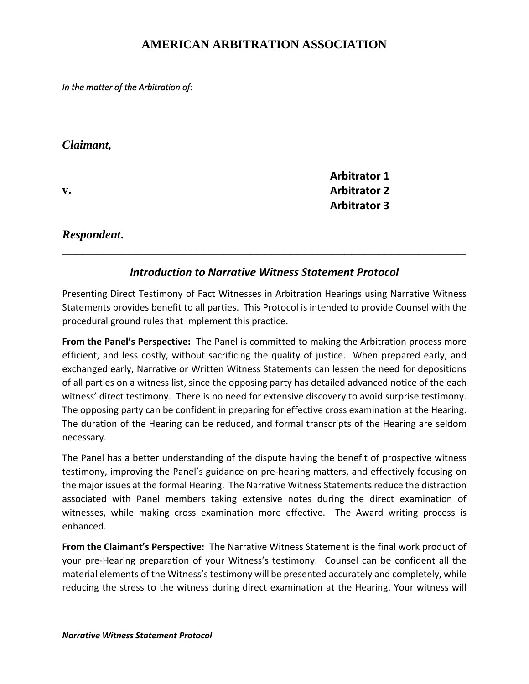## **AMERICAN ARBITRATION ASSOCIATION**

*In the matter of the Arbitration of:*

## *Claimant,*

**v.**

**Arbitrator 1 Arbitrator 2 Arbitrator 3**

*Respondent***.**

## *Introduction to Narrative Witness Statement Protocol*

**\_\_\_\_\_\_\_\_\_\_\_\_\_\_\_\_\_\_\_\_\_\_\_\_\_\_\_\_\_\_\_\_\_\_\_\_\_\_\_\_\_\_\_\_\_\_\_\_\_\_\_\_\_\_\_\_\_\_\_\_**

Presenting Direct Testimony of Fact Witnesses in Arbitration Hearings using Narrative Witness Statements provides benefit to all parties. This Protocol is intended to provide Counsel with the procedural ground rules that implement this practice.

**From the Panel's Perspective:** The Panel is committed to making the Arbitration process more efficient, and less costly, without sacrificing the quality of justice. When prepared early, and exchanged early, Narrative or Written Witness Statements can lessen the need for depositions of all parties on a witness list, since the opposing party has detailed advanced notice of the each witness' direct testimony. There is no need for extensive discovery to avoid surprise testimony. The opposing party can be confident in preparing for effective cross examination at the Hearing. The duration of the Hearing can be reduced, and formal transcripts of the Hearing are seldom necessary.

The Panel has a better understanding of the dispute having the benefit of prospective witness testimony, improving the Panel's guidance on pre-hearing matters, and effectively focusing on the major issues at the formal Hearing. The Narrative Witness Statements reduce the distraction associated with Panel members taking extensive notes during the direct examination of witnesses, while making cross examination more effective. The Award writing process is enhanced.

**From the Claimant's Perspective:** The Narrative Witness Statement is the final work product of your pre-Hearing preparation of your Witness's testimony. Counsel can be confident all the material elements of the Witness's testimony will be presented accurately and completely, while reducing the stress to the witness during direct examination at the Hearing. Your witness will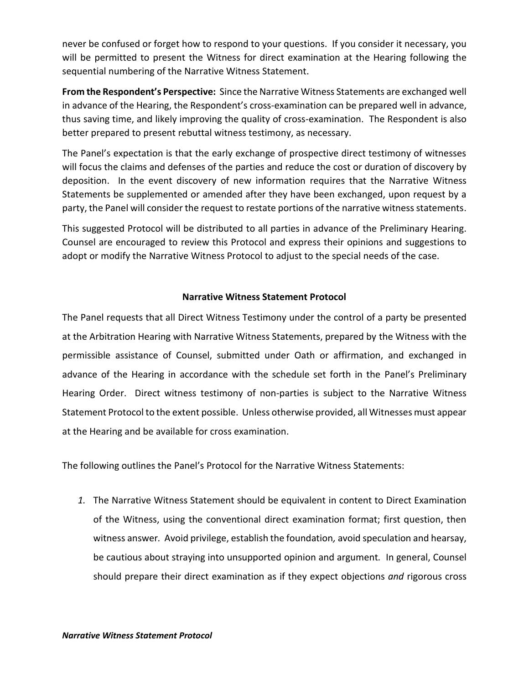never be confused or forget how to respond to your questions. If you consider it necessary, you will be permitted to present the Witness for direct examination at the Hearing following the sequential numbering of the Narrative Witness Statement.

**From the Respondent's Perspective:** Since the Narrative Witness Statements are exchanged well in advance of the Hearing, the Respondent's cross-examination can be prepared well in advance, thus saving time, and likely improving the quality of cross-examination. The Respondent is also better prepared to present rebuttal witness testimony, as necessary.

The Panel's expectation is that the early exchange of prospective direct testimony of witnesses will focus the claims and defenses of the parties and reduce the cost or duration of discovery by deposition. In the event discovery of new information requires that the Narrative Witness Statements be supplemented or amended after they have been exchanged, upon request by a party, the Panel will consider the request to restate portions of the narrative witness statements.

This suggested Protocol will be distributed to all parties in advance of the Preliminary Hearing. Counsel are encouraged to review this Protocol and express their opinions and suggestions to adopt or modify the Narrative Witness Protocol to adjust to the special needs of the case.

## **Narrative Witness Statement Protocol**

The Panel requests that all Direct Witness Testimony under the control of a party be presented at the Arbitration Hearing with Narrative Witness Statements, prepared by the Witness with the permissible assistance of Counsel, submitted under Oath or affirmation, and exchanged in advance of the Hearing in accordance with the schedule set forth in the Panel's Preliminary Hearing Order. Direct witness testimony of non-parties is subject to the Narrative Witness Statement Protocol to the extent possible. Unless otherwise provided, all Witnesses must appear at the Hearing and be available for cross examination.

The following outlines the Panel's Protocol for the Narrative Witness Statements:

*1.* The Narrative Witness Statement should be equivalent in content to Direct Examination of the Witness, using the conventional direct examination format; first question, then witness answer*.* Avoid privilege, establish the foundation*,* avoid speculation and hearsay, be cautious about straying into unsupported opinion and argument*.* In general, Counsel should prepare their direct examination as if they expect objections *and* rigorous cross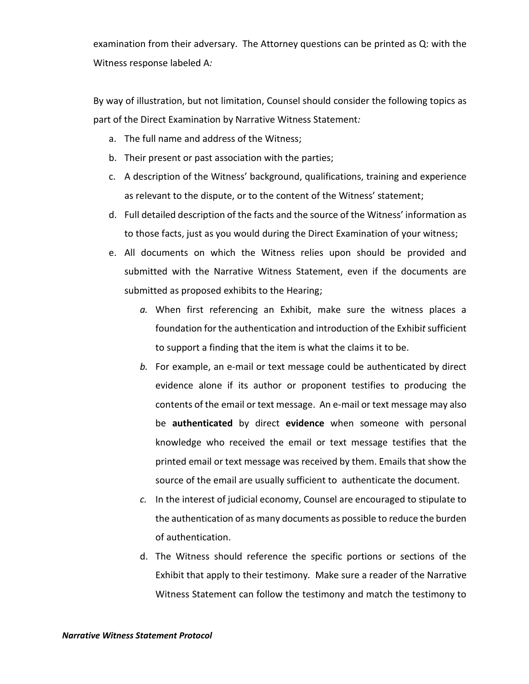examination from their adversary. The Attorney questions can be printed as Q: with the Witness response labeled A*:* 

By way of illustration, but not limitation, Counsel should consider the following topics as part of the Direct Examination by Narrative Witness Statement*:*

- a. The full name and address of the Witness;
- b. Their present or past association with the parties;
- c. A description of the Witness' background, qualifications, training and experience as relevant to the dispute, or to the content of the Witness' statement;
- d. Full detailed description of the facts and the source of the Witness' information as to those facts, just as you would during the Direct Examination of your witness;
- e. All documents on which the Witness relies upon should be provided and submitted with the Narrative Witness Statement, even if the documents are submitted as proposed exhibits to the Hearing;
	- *a.* When first referencing an Exhibit, make sure the witness places a foundation for the authentication and introduction of the Exhibit sufficient to support a finding that the item is what the claims it to be.
	- *b.* For example, an e-mail or text message could be authenticated by direct evidence alone if its author or proponent testifies to producing the contents of the email or text message. An e-mail or text message may also be **authenticated** by direct **evidence** when someone with personal knowledge who received the email or text message testifies that the printed email or text message was received by them. Emails that show the source of the email are usually sufficient to authenticate the document.
	- *c.* In the interest of judicial economy, Counsel are encouraged to stipulate to the authentication of as many documents as possible to reduce the burden of authentication.
	- d. The Witness should reference the specific portions or sections of the Exhibit that apply to their testimony*.* Make sure a reader of the Narrative Witness Statement can follow the testimony and match the testimony to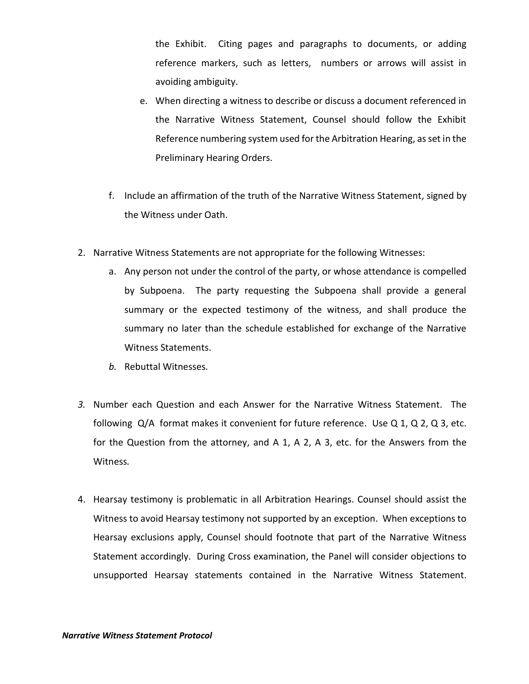the Exhibit. Citing pages and paragraphs to documents, or adding reference markers, such as letters, numbers or arrows will assist in avoiding ambiguity.

- e. When directing a witness to describe or discuss a document referenced in the Narrative Witness Statement, Counsel should follow the Exhibit Reference numbering system used for the Arbitration Hearing, as set in the Preliminary Hearing Orders.
- f. Include an affirmation of the truth of the Narrative Witness Statement, signed by the Witness under Oath.
- 2. Narrative Witness Statements are not appropriate for the following Witnesses:
	- a. Any person not under the control of the party, or whose attendance is compelled by Subpoena. The party requesting the Subpoena shall provide a general summary or the expected testimony of the witness, and shall produce the summary no later than the schedule established for exchange of the Narrative Witness Statements.
	- *b.* Rebuttal Witnesses*.*
- *3.* Number each Question and each Answer for the Narrative Witness Statement. The following  $Q/A$  format makes it convenient for future reference. Use  $Q_1$ ,  $Q_2$ ,  $Q_3$ , etc. for the Question from the attorney, and A 1, A 2, A 3, etc. for the Answers from the Witness*.*
- 4. Hearsay testimony is problematic in all Arbitration Hearings. Counsel should assist the Witness to avoid Hearsay testimony not supported by an exception. When exceptions to Hearsay exclusions apply, Counsel should footnote that part of the Narrative Witness Statement accordingly. During Cross examination, the Panel will consider objections to unsupported Hearsay statements contained in the Narrative Witness Statement.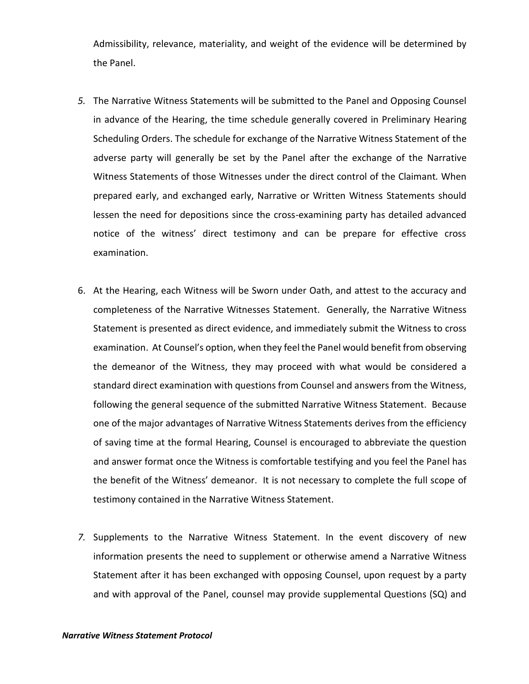Admissibility, relevance, materiality, and weight of the evidence will be determined by the Panel.

- *5.* The Narrative Witness Statements will be submitted to the Panel and Opposing Counsel in advance of the Hearing, the time schedule generally covered in Preliminary Hearing Scheduling Orders. The schedule for exchange of the Narrative Witness Statement of the adverse party will generally be set by the Panel after the exchange of the Narrative Witness Statements of those Witnesses under the direct control of the Claimant*.* When prepared early, and exchanged early, Narrative or Written Witness Statements should lessen the need for depositions since the cross-examining party has detailed advanced notice of the witness' direct testimony and can be prepare for effective cross examination.
- 6. At the Hearing, each Witness will be Sworn under Oath, and attest to the accuracy and completeness of the Narrative Witnesses Statement. Generally, the Narrative Witness Statement is presented as direct evidence, and immediately submit the Witness to cross examination. At Counsel's option, when they feel the Panel would benefit from observing the demeanor of the Witness, they may proceed with what would be considered a standard direct examination with questions from Counsel and answers from the Witness, following the general sequence of the submitted Narrative Witness Statement. Because one of the major advantages of Narrative Witness Statements derives from the efficiency of saving time at the formal Hearing, Counsel is encouraged to abbreviate the question and answer format once the Witness is comfortable testifying and you feel the Panel has the benefit of the Witness' demeanor. It is not necessary to complete the full scope of testimony contained in the Narrative Witness Statement.
- *7.* Supplements to the Narrative Witness Statement. In the event discovery of new information presents the need to supplement or otherwise amend a Narrative Witness Statement after it has been exchanged with opposing Counsel, upon request by a party and with approval of the Panel, counsel may provide supplemental Questions (SQ) and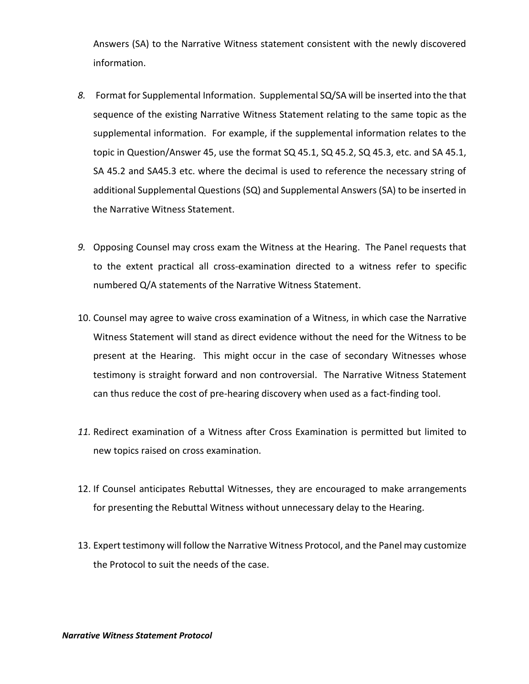Answers (SA) to the Narrative Witness statement consistent with the newly discovered information.

- *8.* Format for Supplemental Information.Supplemental SQ/SA will be inserted into the that sequence of the existing Narrative Witness Statement relating to the same topic as the supplemental information. For example, if the supplemental information relates to the topic in Question/Answer 45, use the format SQ 45.1, SQ 45.2, SQ 45.3, etc. and SA 45.1, SA 45.2 and SA45.3 etc. where the decimal is used to reference the necessary string of additional Supplemental Questions (SQ) and Supplemental Answers (SA) to be inserted in the Narrative Witness Statement.
- *9.* Opposing Counsel may cross exam the Witness at the Hearing.The Panel requests that to the extent practical all cross-examination directed to a witness refer to specific numbered Q/A statements of the Narrative Witness Statement.
- 10. Counsel may agree to waive cross examination of a Witness, in which case the Narrative Witness Statement will stand as direct evidence without the need for the Witness to be present at the Hearing. This might occur in the case of secondary Witnesses whose testimony is straight forward and non controversial. The Narrative Witness Statement can thus reduce the cost of pre-hearing discovery when used as a fact-finding tool.
- *11.* Redirect examination of a Witness after Cross Examination is permitted but limited to new topics raised on cross examination*.*
- 12. If Counsel anticipates Rebuttal Witnesses, they are encouraged to make arrangements for presenting the Rebuttal Witness without unnecessary delay to the Hearing.
- 13. Expert testimony will follow the Narrative Witness Protocol, and the Panel may customize the Protocol to suit the needs of the case.